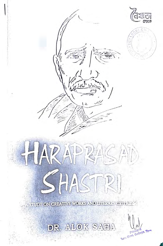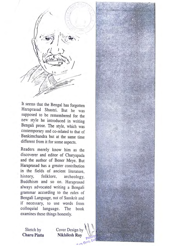

It seems that the Bengal has forgotten Haraprasad Shastri. But he was supposed to be remembered for the new style he introduced in writing Bengali prose. The style, which was contemporary and co-related to that of Bankimchandra but at the same time different from it for some aspects.

Readers merely know him as the discoverer and editor of Charyapada and the author of Bener Meye. But Haraprasad has a greater contribution in the fields of ancient literature, history, folklore, archeology, Buddhism and so on. Haraprasad always advocated writing a Bengali grammar according to the rules of Bengali Language, not of Sanskrit and if necessary, to use words from colloquial language. The book examines these things honestly.

Sketch by Cover Design by<br>Charu Pintu Nikhilesh Rov **Nikhilesh Roy** 

· ·

·"" **GO** 

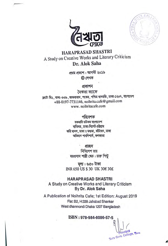



**HARAPRASAD SHASTRI**  AStudy on Creative Works and Literary Criticism **Dr. Alok Saha** 

> প্ৰথম প্ৰকাশ : আগস্ট ২০১৯  $@$  লেখক

- প্ৰকাশন<br>নৈঋতা ক্যাফে - প্রকাশন<br>নৈঋতা ক্যাফে ~:R~' qp,f: 1:)1:)~' erl®l<ll'1, ~~' ffl ~'um-~~oq, <m.'11WT +88-0197-7731146, [noihrita.cafe@gmail.com](mailto:noihrita.cafe@gmail.com)  <www.noihritacafe.com>

#### পরিবেশক

ৱকমাৰি ডটকম বাংলাদেশ ৰাতিঘৱ, ঢাকা-সিলেট-চউগ্ৰাম  $\Phi$  कवि भानभ, णका । भथभा, काँणेवन, णका অভিযান পাবলিশার্স, কলকাতা

প্ৰচ্ছদ

নিখিলেশ রায় হরপ্রসাদ শাম্রী ক্ষেচ : চারু পিন্টু

**~:~Q'o~**  INR 650 US\$ 30 UK 30€ 30£

**HARAPRASAD SHASTRI**  A Study on Creative Works and Literary Criticism By **Dr. Alok Saha** 

A Publication of Noihrita Cafe; 1st Edition: August 2019 Flat: B2, H:339 Jafrabad Shankar West dhanmondi Dhaka 1207 Bangladesh

ISBN: 978-984-8086-57-5

Tura Govt. College.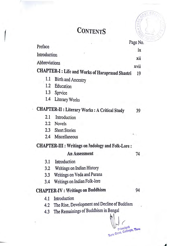# **CONTENTS**

|  |                                                                  |                                              | Page No.             |  |
|--|------------------------------------------------------------------|----------------------------------------------|----------------------|--|
|  | Preface                                                          |                                              | ix                   |  |
|  | Introduction                                                     |                                              | xii                  |  |
|  | Abbreviations                                                    |                                              |                      |  |
|  | <b>CHAPTER-I: Life and Works of Haraprasad Shastri</b>           |                                              | xvii<br>19           |  |
|  | 1.1                                                              | <b>Birth and Ancestry</b>                    |                      |  |
|  | 1.2                                                              | Education                                    |                      |  |
|  | 1.3                                                              | Service                                      |                      |  |
|  | 1.4                                                              | Literary Works                               |                      |  |
|  | <b>CHAPTER-II : Literary Works : A Critical Study</b><br>٠<br>39 |                                              |                      |  |
|  | 2.1                                                              | Introduction                                 |                      |  |
|  | $2.2\,$                                                          | <b>Novels</b>                                |                      |  |
|  | $2.3^{\circ}$                                                    | <b>Short Stories</b>                         |                      |  |
|  | 2.4                                                              | Miscellaneous                                | $\mathbf{v}_{\perp}$ |  |
|  | <b>CHAPTER-III : Writings on Jndology and Folk-Lore :</b>        |                                              |                      |  |
|  |                                                                  | <b>An Assessment</b>                         | 74                   |  |
|  | 3.1                                                              | Introduction                                 |                      |  |
|  | 3.2                                                              | Writings on Indian History                   |                      |  |
|  | 3.3                                                              | Writings on Veda and Purana                  |                      |  |
|  | 3.4                                                              | Writings on Indian Folk-lore                 |                      |  |
|  | <b>CHAPTER-IV: Writings on Buddhism</b>                          |                                              |                      |  |
|  | 4.1                                                              | Introduction                                 |                      |  |
|  | 4.2                                                              | The Rise, Development and Decline of Buddism |                      |  |
|  | 4.3                                                              | The Remainings of Buddhism in Bengal         |                      |  |
|  |                                                                  |                                              |                      |  |
|  |                                                                  |                                              |                      |  |
|  |                                                                  |                                              |                      |  |

 $7.072$  Gove

an a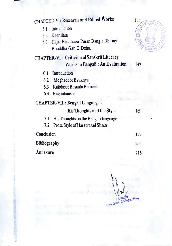|                                                            | 122                                                                      |
|------------------------------------------------------------|--------------------------------------------------------------------------|
| Introduction                                               | VT.Co                                                                    |
| Keertilata                                                 |                                                                          |
| Hajar Bachharer Puran Bangla Bhasay<br>Bouddha Gan O Doha. |                                                                          |
| <b>CHAPTER-VI</b> : Criticism of Sanskrit Literary         |                                                                          |
|                                                            | 142                                                                      |
| Introduction                                               |                                                                          |
| Meghadoot Byakhya                                          |                                                                          |
| Kalidaser Basanta Barnana                                  |                                                                          |
| Raghubansha                                                |                                                                          |
| CHAPTER-VII : Bengali Language :                           |                                                                          |
| <b>His Thoughts and the Style</b>                          | 169                                                                      |
| His Thoughts on the Bengali language.                      |                                                                          |
| Prose Style of Haraprasad Shastri                          |                                                                          |
| Conclusion                                                 | 199                                                                      |
| <b>Bibliography</b>                                        | 205                                                                      |
| Annexure                                                   | 216                                                                      |
|                                                            | CHAPTER-V : Research and Edited Works<br>Works in Bengali: An Evaluation |

Canada and More

**ISK** 

**And Allege** 

Principal<br>Tura Govt, College, Tura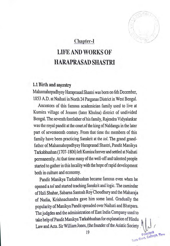**1 llf:l Go"1-**

### **Chapter-I**

## LIFE AND WORKS OF **HARAPRASADSHASTRI**

#### 1.1 Birth and ancestry

Mahamahopadhyay Haraprasad Shastri was born on 6th December, 1853 A.D. at Naihati in North 24 Parganas District in West Bengal.

Ancestors of this famous academician family used to live at Kumira village of Jessore (later Khulna) district of undivided Bengal. The seventh forefather of his family, Rajendra Vidyalankar was the royal pandit at the [court.of](https://court.of) the king of Naldanga in the later part of seventeenth century. From that time the members of this family have been practicing Sanskrit at the *tol.* The grand grandfather of Mahamahopadhyay Haraprasad Shastri, Pandit Manikya Tarkabhushan (1707-1806) left Kumira forever and settled at Naihati permanently.At that time many of the well-off and talented people started to gather in this locality with the hope of rapid development both in culture and economy.

Pandit Manikya Tarkabhushan became famous even when he opened a*tol* and started teaching Sanskrit and logic. The zamindar of Hali Shahar, Sabarna Santosh Roy Choudhury and the Maharaja of Nadia, Krishnachandra gave him some land. Gradually the popularity of Manikya Pandit spreaded over Naihati and Bhatpara. The judgdes and the administration of East India Company used to take help of Pandit Manikya Tarkabhushan for explanation of Hindu Law and Acts. Sir William Jones, (the founder of the Asiatic Society

**t t t college, Tur**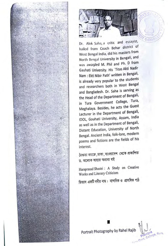



-**r.** 

 $T$   $G$   $\rightarrow$   $N$ 

Principal<br>College, Turn

Dr. Alok Saha, a critic and essayist, hailed from Coach Behar district of West Bengal India, did his masters from North Bengal University in Bengali, and was awarded M. Phil and Ph. D from Gauhati University. His 'Titas Akti Nadir Nam : Ekti Nibir Path' written in Bengali, is already very popular to the students and researchers both in West Bengal and Bangladesh. Dr. Saha is serving as the Head of the Department of Bengali, in Tura Government College, Tura, Meghalaya. Besides, he acts the Guest Lecturer in the Department of Bengali, IDOL, Gouhati University, Assam, India as well as in the Department of Bengali, Distant Education, University of North Bengal. Ancient India, folk-lore, modern poems and fictions are the fields of his interest.

নৈঋতা ক্যাফ্লে, ঢাকা, বাংলাদেশ থেকে প্ৰকাশিত ড. অলোক সাহার অনান্য বই

Haraprasad Shastri : A Study on Creative Works and Literary Criticism

তিতাস একটি নদীর নাম: নান্দনিক ও প্রাসঙ্গিক পাঠ

Portrait Photography by Rahel Rajib

I